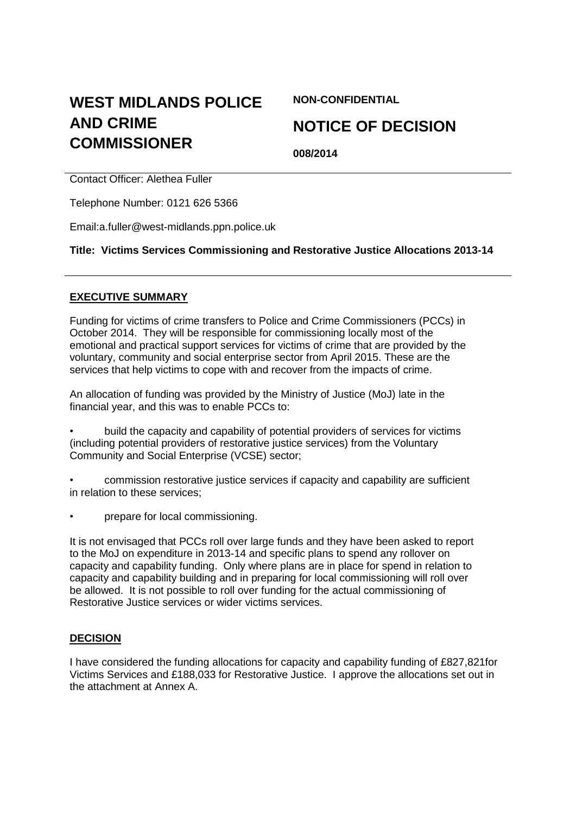# **WEST MIDLANDS POLICE AND CRIME COMMISSIONER**

**NON-CONFIDENTIAL**

# **NOTICE OF DECISION**

**008/2014**

Contact Officer: Alethea Fuller

Telephone Number: 0121 626 5366

Email:a.fuller@west-midlands.ppn.police.uk

**Title: Victims Services Commissioning and Restorative Justice Allocations 2013-14**

#### **EXECUTIVE SUMMARY**

Funding for victims of crime transfers to Police and Crime Commissioners (PCCs) in October 2014. They will be responsible for commissioning locally most of the emotional and practical support services for victims of crime that are provided by the voluntary, community and social enterprise sector from April 2015. These are the services that help victims to cope with and recover from the impacts of crime.

An allocation of funding was provided by the Ministry of Justice (MoJ) late in the financial year, and this was to enable PCCs to:

• build the capacity and capability of potential providers of services for victims (including potential providers of restorative justice services) from the Voluntary Community and Social Enterprise (VCSE) sector;

• commission restorative justice services if capacity and capability are sufficient in relation to these services;

• prepare for local commissioning.

It is not envisaged that PCCs roll over large funds and they have been asked to report to the MoJ on expenditure in 2013-14 and specific plans to spend any rollover on capacity and capability funding. Only where plans are in place for spend in relation to capacity and capability building and in preparing for local commissioning will roll over be allowed. It is not possible to roll over funding for the actual commissioning of Restorative Justice services or wider victims services.

#### **DECISION**

I have considered the funding allocations for capacity and capability funding of £827,821for Victims Services and £188,033 for Restorative Justice. I approve the allocations set out in the attachment at Annex A.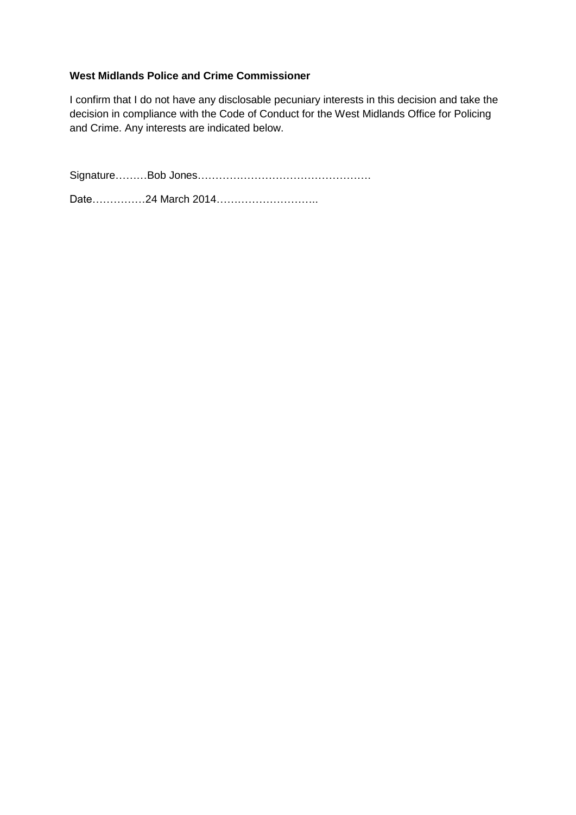### **West Midlands Police and Crime Commissioner**

I confirm that I do not have any disclosable pecuniary interests in this decision and take the decision in compliance with the Code of Conduct for the West Midlands Office for Policing and Crime. Any interests are indicated below.

Signature………Bob Jones………………………………………….

Date……………24 March 2014…………………………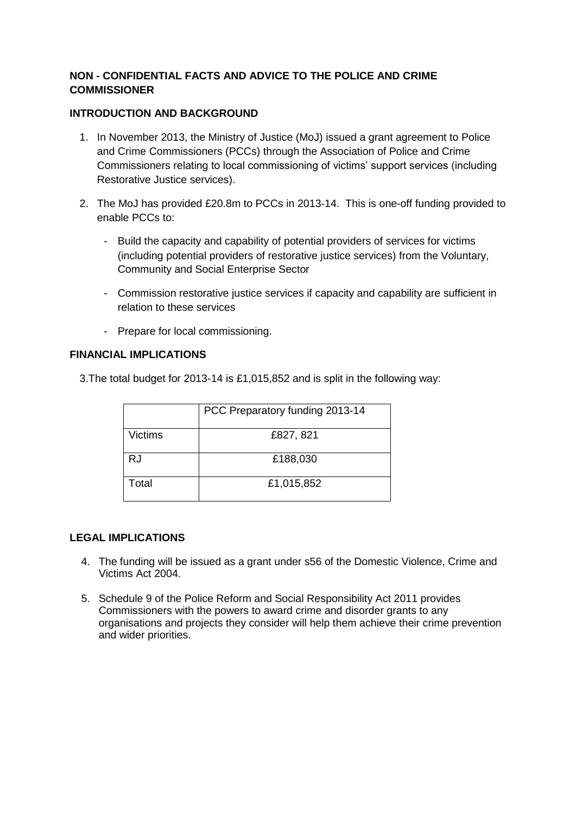## **NON - CONFIDENTIAL FACTS AND ADVICE TO THE POLICE AND CRIME COMMISSIONER**

### **INTRODUCTION AND BACKGROUND**

- 1. In November 2013, the Ministry of Justice (MoJ) issued a grant agreement to Police and Crime Commissioners (PCCs) through the Association of Police and Crime Commissioners relating to local commissioning of victims' support services (including Restorative Justice services).
- 2. The MoJ has provided £20.8m to PCCs in 2013-14. This is one-off funding provided to enable PCCs to:
	- Build the capacity and capability of potential providers of services for victims (including potential providers of restorative justice services) from the Voluntary, Community and Social Enterprise Sector
	- Commission restorative justice services if capacity and capability are sufficient in relation to these services
	- Prepare for local commissioning.

### **FINANCIAL IMPLICATIONS**

3.The total budget for 2013-14 is £1,015,852 and is split in the following way:

|         | PCC Preparatory funding 2013-14 |
|---------|---------------------------------|
| Victims | £827, 821                       |
| RJ      | £188,030                        |
| Total   | £1,015,852                      |

#### **LEGAL IMPLICATIONS**

- 4. The funding will be issued as a grant under s56 of the Domestic Violence, Crime and Victims Act 2004.
- 5. Schedule 9 of the Police Reform and Social Responsibility Act 2011 provides Commissioners with the powers to award crime and disorder grants to any organisations and projects they consider will help them achieve their crime prevention and wider priorities.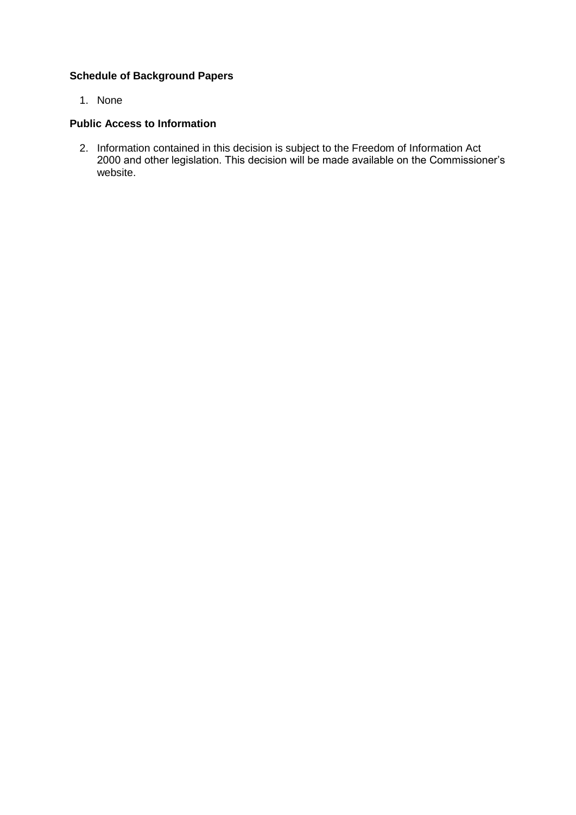## **Schedule of Background Papers**

1. None

### **Public Access to Information**

2. Information contained in this decision is subject to the Freedom of Information Act 2000 and other legislation. This decision will be made available on the Commissioner's website.